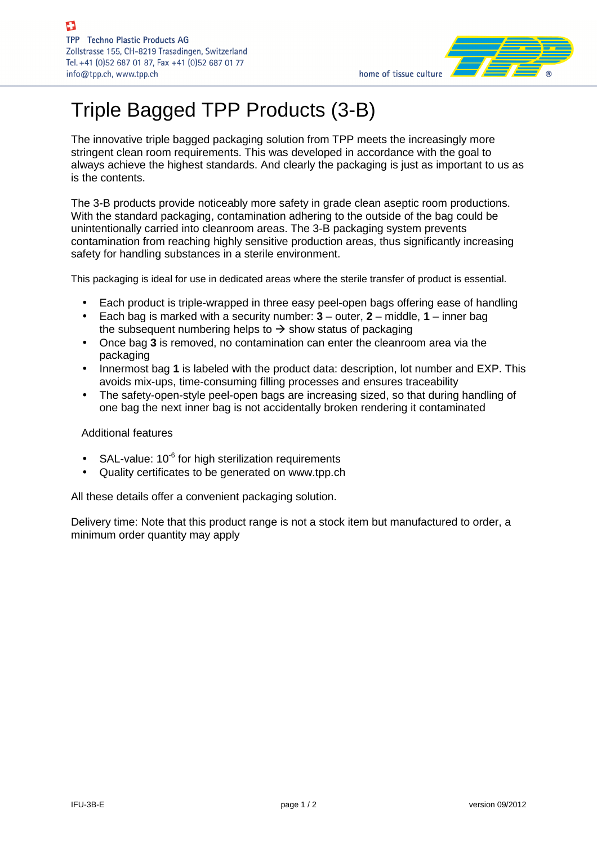

# Triple Bagged TPP Products (3-B)

The innovative triple bagged packaging solution from TPP meets the increasingly more stringent clean room requirements. This was developed in accordance with the goal to always achieve the highest standards. And clearly the packaging is just as important to us as is the contents.

The 3-B products provide noticeably more safety in grade clean aseptic room productions. With the standard packaging, contamination adhering to the outside of the bag could be unintentionally carried into cleanroom areas. The 3-B packaging system prevents contamination from reaching highly sensitive production areas, thus significantly increasing safety for handling substances in a sterile environment.

This packaging is ideal for use in dedicated areas where the sterile transfer of product is essential.

- Each product is triple-wrapped in three easy peel-open bags offering ease of handling
- Each bag is marked with a security number: **3** outer, **2** middle, **1** inner bag the subsequent numbering helps to  $\rightarrow$  show status of packaging
- Once bag **3** is removed, no contamination can enter the cleanroom area via the packaging
- Innermost bag **1** is labeled with the product data: description, lot number and EXP. This avoids mix-ups, time-consuming filling processes and ensures traceability
- The safety-open-style peel-open bags are increasing sized, so that during handling of one bag the next inner bag is not accidentally broken rendering it contaminated

#### Additional features

- SAL-value:  $10^{-6}$  for high sterilization requirements
- Quality certificates to be generated on www.tpp.ch

All these details offer a convenient packaging solution.

Delivery time: Note that this product range is not a stock item but manufactured to order, a minimum order quantity may apply